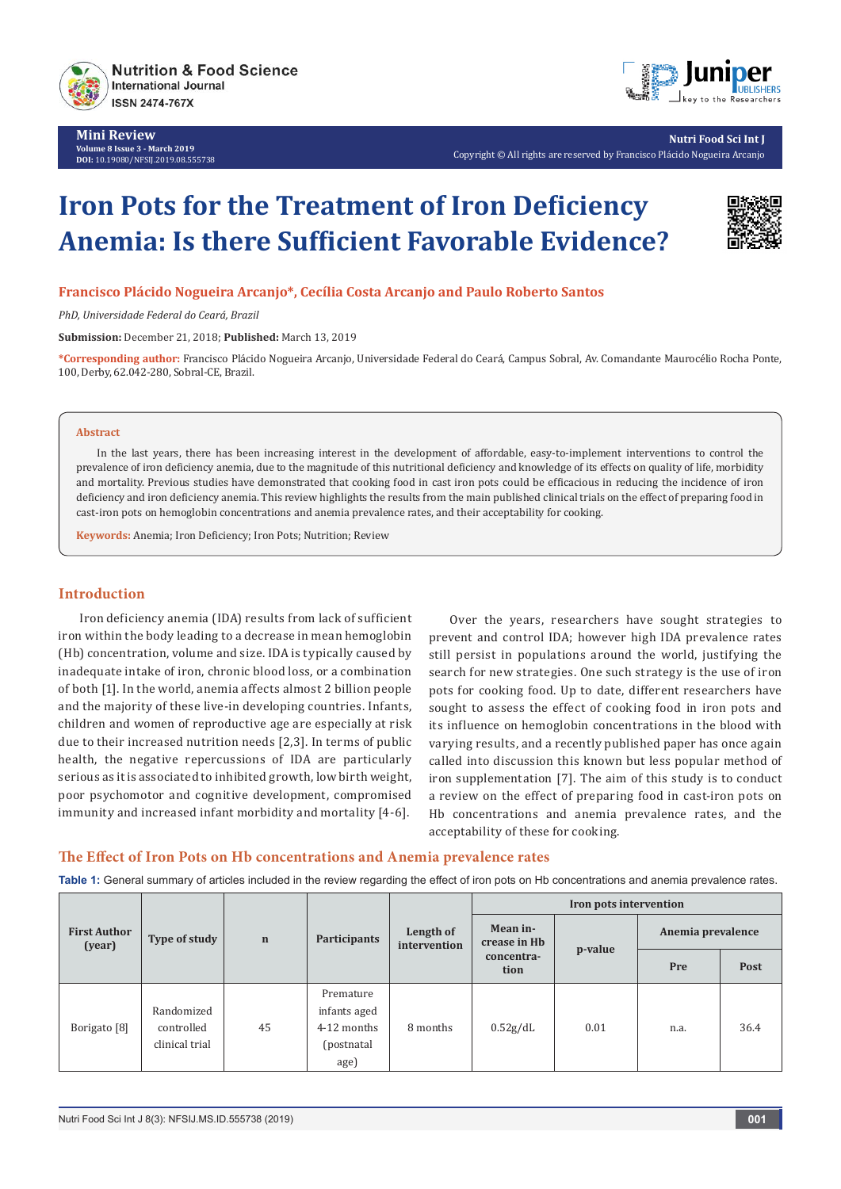

**Mini Review Volume 8 Issue 3 - March 2019 DOI:** [10.19080/NFSIJ.2019.08.555738](http://dx.doi.org/10.19080/NFSIJ.2019.08.555738)



**Nutri Food Sci Int J** Copyright © All rights are reserved by Francisco Plácido Nogueira Arcanjo

# **Iron Pots for the Treatment of Iron Deficiency Anemia: Is there Sufficient Favorable Evidence?**



## **Francisco Plácido Nogueira Arcanjo\*, Cecília Costa Arcanjo and Paulo Roberto Santos**

*PhD, Universidade Federal do Ceará, Brazil*

**Submission:** December 21, 2018; **Published:** March 13, 2019

**\*Corresponding author:** Francisco Plácido Nogueira Arcanjo, Universidade Federal do Ceará, Campus Sobral, Av. Comandante Maurocélio Rocha Ponte, 100, Derby, 62.042-280, Sobral-CE, Brazil.

### **Abstract**

In the last years, there has been increasing interest in the development of affordable, easy-to-implement interventions to control the prevalence of iron deficiency anemia, due to the magnitude of this nutritional deficiency and knowledge of its effects on quality of life, morbidity and mortality. Previous studies have demonstrated that cooking food in cast iron pots could be efficacious in reducing the incidence of iron deficiency and iron deficiency anemia. This review highlights the results from the main published clinical trials on the effect of preparing food in cast-iron pots on hemoglobin concentrations and anemia prevalence rates, and their acceptability for cooking.

**Keywords:** Anemia; Iron Deficiency; Iron Pots; Nutrition; Review

## **Introduction**

Iron deficiency anemia (IDA) results from lack of sufficient iron within the body leading to a decrease in mean hemoglobin (Hb) concentration, volume and size. IDA is typically caused by inadequate intake of iron, chronic blood loss, or a combination of both [1]. In the world, anemia affects almost 2 billion people and the majority of these live-in developing countries. Infants, children and women of reproductive age are especially at risk due to their increased nutrition needs [2,3]. In terms of public health, the negative repercussions of IDA are particularly serious as it is associated to inhibited growth, low birth weight, poor psychomotor and cognitive development, compromised immunity and increased infant morbidity and mortality [4-6].

Over the years, researchers have sought strategies to prevent and control IDA; however high IDA prevalence rates still persist in populations around the world, justifying the search for new strategies. One such strategy is the use of iron pots for cooking food. Up to date, different researchers have sought to assess the effect of cooking food in iron pots and its influence on hemoglobin concentrations in the blood with varying results, and a recently published paper has once again called into discussion this known but less popular method of iron supplementation [7]. The aim of this study is to conduct a review on the effect of preparing food in cast-iron pots on Hb concentrations and anemia prevalence rates, and the acceptability of these for cooking.

## **The Effect of Iron Pots on Hb concentrations and Anemia prevalence rates**

**Table 1:** General summary of articles included in the review regarding the effect of iron pots on Hb concentrations and anemia prevalence rates.

| <b>First Author</b><br>(year) | Type of study                              | $\mathbf n$ | <b>Participants</b>                                             | Length of<br>intervention | Iron pots intervention                         |         |                   |      |
|-------------------------------|--------------------------------------------|-------------|-----------------------------------------------------------------|---------------------------|------------------------------------------------|---------|-------------------|------|
|                               |                                            |             |                                                                 |                           | Mean in-<br>crease in Hb<br>concentra-<br>tion | p-value | Anemia prevalence |      |
|                               |                                            |             |                                                                 |                           |                                                |         | Pre               | Post |
| Borigato <sup>[8]</sup>       | Randomized<br>controlled<br>clinical trial | 45          | Premature<br>infants aged<br>4-12 months<br>(postnatal)<br>age) | 8 months                  | 0.52g/dL                                       | 0.01    | n.a.              | 36.4 |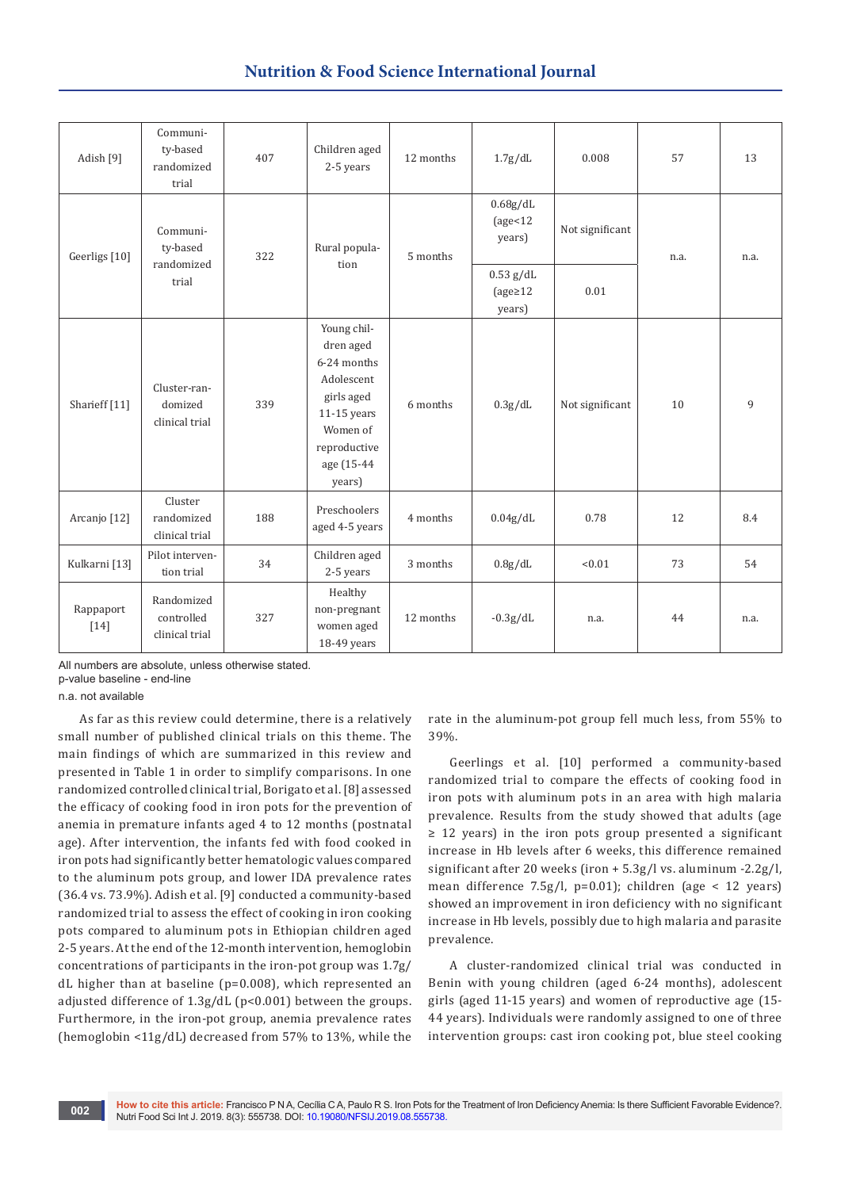# **Nutrition & Food Science International Journal**

| Adish [9]                | Communi-<br>ty-based<br>randomized<br>trial | 407 | Children aged<br>2-5 years                                                                                                             | 12 months | 1.7g/dL                                         | 0.008           | 57   | 13   |
|--------------------------|---------------------------------------------|-----|----------------------------------------------------------------------------------------------------------------------------------------|-----------|-------------------------------------------------|-----------------|------|------|
| Geerligs [10]            | Communi-<br>ty-based<br>randomized<br>trial | 322 | Rural popula-<br>tion                                                                                                                  | 5 months  | 0.68g/dL<br>$\text{age} < 12$<br>years)         | Not significant | n.a. | n.a. |
|                          |                                             |     |                                                                                                                                        |           | $0.53$ g/dL<br>$\text{(age} \geq 12)$<br>years) | 0.01            |      |      |
| Sharieff <sup>[11]</sup> | Cluster-ran-<br>domized<br>clinical trial   | 339 | Young chil-<br>dren aged<br>6-24 months<br>Adolescent<br>girls aged<br>11-15 years<br>Women of<br>reproductive<br>age (15-44<br>years) | 6 months  | 0.3g/dL                                         | Not significant | 10   | 9    |
| Arcanjo [12]             | Cluster<br>randomized<br>clinical trial     | 188 | Preschoolers<br>aged 4-5 years                                                                                                         | 4 months  | 0.04g/dL                                        | 0.78            | 12   | 8.4  |
| Kulkarni [13]            | Pilot interven-<br>tion trial               | 34  | Children aged<br>2-5 years                                                                                                             | 3 months  | 0.8g/dL                                         | < 0.01          | 73   | 54   |
| Rappaport<br>$[14]$      | Randomized<br>controlled<br>clinical trial  | 327 | Healthy<br>non-pregnant<br>women aged<br>18-49 years                                                                                   | 12 months | $-0.3g/dL$                                      | n.a.            | 44   | n.a. |

All numbers are absolute, unless otherwise stated.

p-value baseline - end-line

n.a. not available

As far as this review could determine, there is a relatively small number of published clinical trials on this theme. The main findings of which are summarized in this review and presented in Table 1 in order to simplify comparisons. In one randomized controlled clinical trial, Borigato et al. [8] assessed the efficacy of cooking food in iron pots for the prevention of anemia in premature infants aged 4 to 12 months (postnatal age). After intervention, the infants fed with food cooked in iron pots had significantly better hematologic values compared to the aluminum pots group, and lower IDA prevalence rates (36.4 vs. 73.9%). Adish et al. [9] conducted a community-based randomized trial to assess the effect of cooking in iron cooking pots compared to aluminum pots in Ethiopian children aged 2-5 years. At the end of the 12-month intervention, hemoglobin concentrations of participants in the iron-pot group was 1.7g/ dL higher than at baseline (p=0.008), which represented an adjusted difference of 1.3g/dL (p<0.001) between the groups. Furthermore, in the iron-pot group, anemia prevalence rates (hemoglobin <11g/dL) decreased from 57% to 13%, while the

rate in the aluminum-pot group fell much less, from 55% to 39%.

Geerlings et al. [10] performed a community-based randomized trial to compare the effects of cooking food in iron pots with aluminum pots in an area with high malaria prevalence. Results from the study showed that adults (age ≥ 12 years) in the iron pots group presented a significant increase in Hb levels after 6 weeks, this difference remained significant after 20 weeks (iron + 5.3g/l vs. aluminum -2.2g/l, mean difference 7.5g/l, p=0.01); children (age < 12 years) showed an improvement in iron deficiency with no significant increase in Hb levels, possibly due to high malaria and parasite prevalence.

A cluster-randomized clinical trial was conducted in Benin with young children (aged 6-24 months), adolescent girls (aged 11-15 years) and women of reproductive age (15- 44 years). Individuals were randomly assigned to one of three intervention groups: cast iron cooking pot, blue steel cooking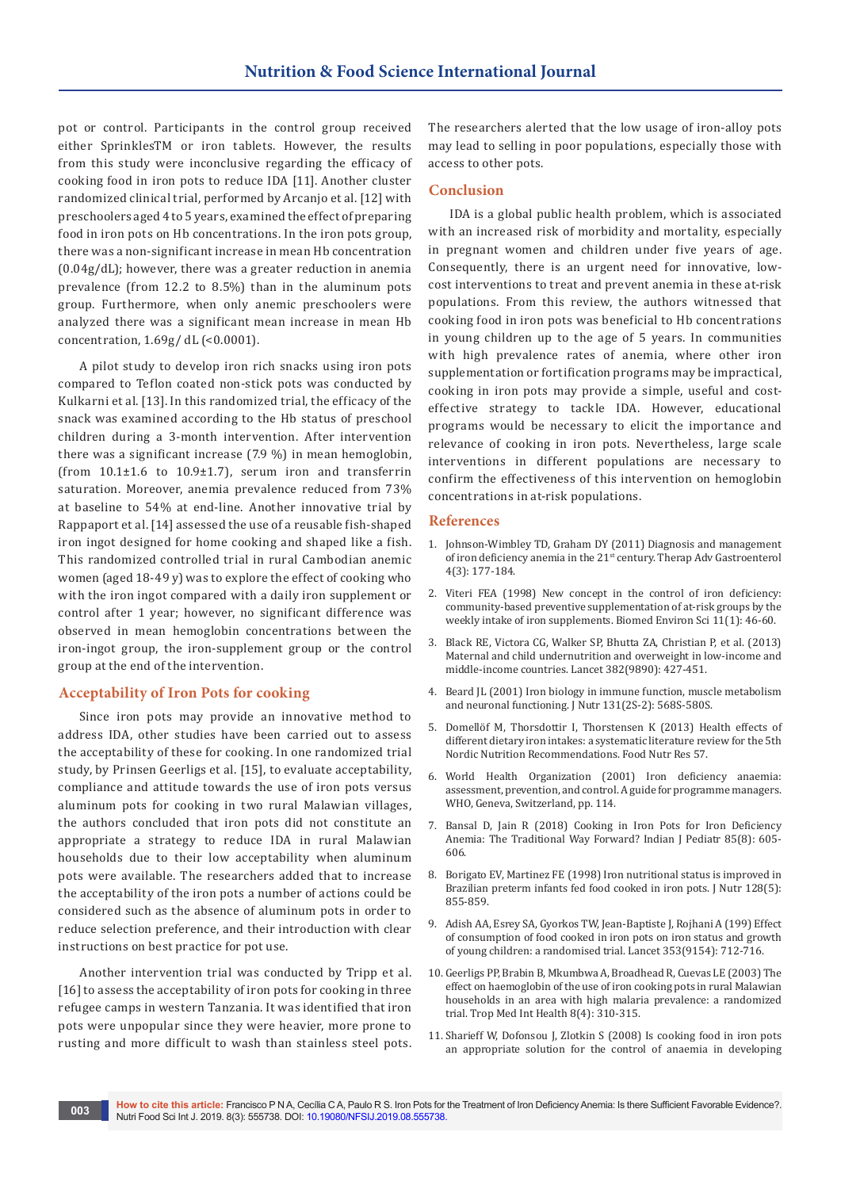pot or control. Participants in the control group received either SprinklesTM or iron tablets. However, the results from this study were inconclusive regarding the efficacy of cooking food in iron pots to reduce IDA [11]. Another cluster randomized clinical trial, performed by Arcanjo et al. [12] with preschoolers aged 4 to 5 years, examined the effect of preparing food in iron pots on Hb concentrations. In the iron pots group, there was a non-significant increase in mean Hb concentration (0.04g/dL); however, there was a greater reduction in anemia prevalence (from 12.2 to 8.5%) than in the aluminum pots group. Furthermore, when only anemic preschoolers were analyzed there was a significant mean increase in mean Hb concentration,  $1.69g/dL$  (<0.0001).

A pilot study to develop iron rich snacks using iron pots compared to Teflon coated non-stick pots was conducted by Kulkarni et al. [13]. In this randomized trial, the efficacy of the snack was examined according to the Hb status of preschool children during a 3-month intervention. After intervention there was a significant increase (7.9 %) in mean hemoglobin, (from 10.1±1.6 to 10.9±1.7), serum iron and transferrin saturation. Moreover, anemia prevalence reduced from 73% at baseline to 54% at end-line. Another innovative trial by Rappaport et al. [14] assessed the use of a reusable fish-shaped iron ingot designed for home cooking and shaped like a fish. This randomized controlled trial in rural Cambodian anemic women (aged 18-49 y) was to explore the effect of cooking who with the iron ingot compared with a daily iron supplement or control after 1 year; however, no significant difference was observed in mean hemoglobin concentrations between the iron-ingot group, the iron-supplement group or the control group at the end of the intervention.

## **Acceptability of Iron Pots for cooking**

Since iron pots may provide an innovative method to address IDA, other studies have been carried out to assess the acceptability of these for cooking. In one randomized trial study, by Prinsen Geerligs et al. [15], to evaluate acceptability, compliance and attitude towards the use of iron pots versus aluminum pots for cooking in two rural Malawian villages, the authors concluded that iron pots did not constitute an appropriate a strategy to reduce IDA in rural Malawian households due to their low acceptability when aluminum pots were available. The researchers added that to increase the acceptability of the iron pots a number of actions could be considered such as the absence of aluminum pots in order to reduce selection preference, and their introduction with clear instructions on best practice for pot use.

Another intervention trial was conducted by Tripp et al. [16] to assess the acceptability of iron pots for cooking in three refugee camps in western Tanzania. It was identified that iron pots were unpopular since they were heavier, more prone to rusting and more difficult to wash than stainless steel pots. The researchers alerted that the low usage of iron-alloy pots may lead to selling in poor populations, especially those with access to other pots.

## **Conclusion**

IDA is a global public health problem, which is associated with an increased risk of morbidity and mortality, especially in pregnant women and children under five years of age. Consequently, there is an urgent need for innovative, lowcost interventions to treat and prevent anemia in these at-risk populations. From this review, the authors witnessed that cooking food in iron pots was beneficial to Hb concentrations in young children up to the age of 5 years. In communities with high prevalence rates of anemia, where other iron supplementation or fortification programs may be impractical, cooking in iron pots may provide a simple, useful and costeffective strategy to tackle IDA. However, educational programs would be necessary to elicit the importance and relevance of cooking in iron pots. Nevertheless, large scale interventions in different populations are necessary to confirm the effectiveness of this intervention on hemoglobin concentrations in at-risk populations.

#### **References**

- 1. [Johnson-Wimbley TD, Graham DY \(2011\) Diagnosis and management](https://www.ncbi.nlm.nih.gov/pubmed/21694802/)  of iron deficiency anemia in the 21st [century. Therap Adv Gastroenterol](https://www.ncbi.nlm.nih.gov/pubmed/21694802/)  [4\(3\): 177-184.](https://www.ncbi.nlm.nih.gov/pubmed/21694802/)
- 2. [Viteri FEA \(1998\) New concept in the control of iron deficiency:](https://www.ncbi.nlm.nih.gov/pubmed/9559102)  [community-based preventive supplementation of at-risk groups by the](https://www.ncbi.nlm.nih.gov/pubmed/9559102)  [weekly intake of iron supplements. Biomed Environ Sci 11\(1\): 46-60.](https://www.ncbi.nlm.nih.gov/pubmed/9559102)
- 3. [Black RE, Victora CG, Walker SP, Bhutta ZA, Christian P, et al. \(2013\)](https://www.ncbi.nlm.nih.gov/pubmed/23746772)  [Maternal and child undernutrition and overweight in low-income and](https://www.ncbi.nlm.nih.gov/pubmed/23746772)  [middle-income countries. Lancet 382\(9890\): 427-451.](https://www.ncbi.nlm.nih.gov/pubmed/23746772)
- 4. [Beard JL \(2001\) Iron biology in immune function, muscle metabolism](https://www.ncbi.nlm.nih.gov/pubmed/11160590)  [and neuronal functioning. J Nutr 131\(2S-2\): 568S-580S.](https://www.ncbi.nlm.nih.gov/pubmed/11160590)
- 5. [Domellöf M, Thorsdottir I, Thorstensen K \(2013\) Health effects of](https://www.ncbi.nlm.nih.gov/pubmed/23858301)  [different dietary iron intakes: a systematic literature review for the 5th](https://www.ncbi.nlm.nih.gov/pubmed/23858301)  [Nordic Nutrition Recommendations. Food Nutr Res 57.](https://www.ncbi.nlm.nih.gov/pubmed/23858301)
- 6. World Health Organization (2001) Iron deficiency anaemia: assessment, prevention, and control. A guide for programme managers. WHO, Geneva, Switzerland, pp. 114.
- 7. [Bansal D, Jain R \(2018\) Cooking in Iron Pots for Iron Deficiency](https://www.ncbi.nlm.nih.gov/pubmed/29948738)  [Anemia: The Traditional Way Forward? Indian J Pediatr 85\(8\): 605-](https://www.ncbi.nlm.nih.gov/pubmed/29948738) [606.](https://www.ncbi.nlm.nih.gov/pubmed/29948738)
- 8. [Borigato EV, Martinez FE \(1998\) Iron nutritional status is improved in](https://www.ncbi.nlm.nih.gov/pubmed/9566993)  [Brazilian preterm infants fed food cooked in iron pots. J Nutr 128\(5\):](https://www.ncbi.nlm.nih.gov/pubmed/9566993)  [855-859.](https://www.ncbi.nlm.nih.gov/pubmed/9566993)
- 9. [Adish AA, Esrey SA, Gyorkos TW, Jean-Baptiste J, Rojhani A \(199\) Effect](https://www.ncbi.nlm.nih.gov/pubmed/10073514)  [of consumption of food cooked in iron pots on iron status and growth](https://www.ncbi.nlm.nih.gov/pubmed/10073514)  [of young children: a randomised trial. Lancet 353\(9154\): 712-716.](https://www.ncbi.nlm.nih.gov/pubmed/10073514)
- 10. [Geerligs PP, Brabin B, Mkumbwa A, Broadhead R, Cuevas LE \(2003\) The](https://www.ncbi.nlm.nih.gov/pubmed/12667149)  [effect on haemoglobin of the use of iron cooking pots in rural Malawian](https://www.ncbi.nlm.nih.gov/pubmed/12667149)  [households in an area with high malaria prevalence: a randomized](https://www.ncbi.nlm.nih.gov/pubmed/12667149)  [trial. Trop Med Int Health 8\(4\): 310-315.](https://www.ncbi.nlm.nih.gov/pubmed/12667149)
- 11. [Sharieff W, Dofonsou J, Zlotkin S \(2008\) Is cooking food in iron pots](https://www.ncbi.nlm.nih.gov/pubmed/17935647)  [an appropriate solution for the control of anaemia in developing](https://www.ncbi.nlm.nih.gov/pubmed/17935647)